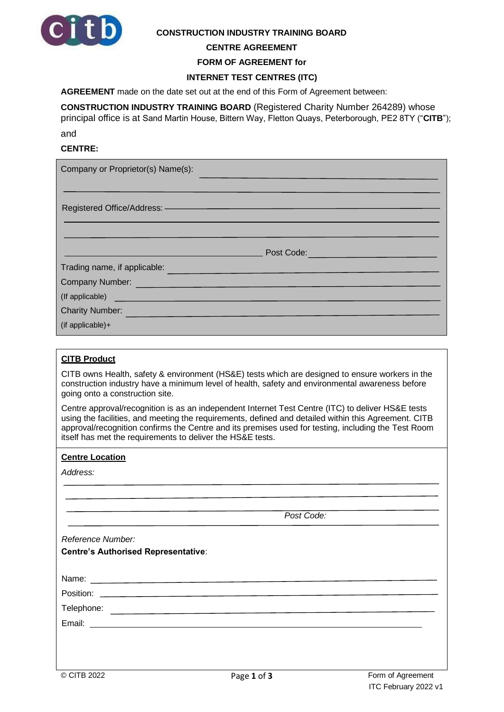

#### **CONSTRUCTION INDUSTRY TRAINING BOARD**

#### **CENTRE AGREEMENT**

**FORM OF AGREEMENT for** 

## **INTERNET TEST CENTRES (ITC)**

**AGREEMENT** made on the date set out at the end of this Form of Agreement between:

**CONSTRUCTION INDUSTRY TRAINING BOARD** (Registered Charity Number 264289) whose principal office is at Sand Martin House, Bittern Way, Fletton Quays, Peterborough, PE2 8TY ("**CITB**");

and

# **CENTRE:**

| Company or Proprietor(s) Name(s):                                                                                                                                                                                                    |
|--------------------------------------------------------------------------------------------------------------------------------------------------------------------------------------------------------------------------------------|
| Registered Office/Address: —————————————————————                                                                                                                                                                                     |
| Post Code:                                                                                                                                                                                                                           |
| Trading name, if applicable: <b>contained a set of the set of the set of the set of the set of the set of the set of the set of the set of the set of the set of the set of the set of the set of the set of the set of the set </b> |
| Company Number: <u>Company Number</u>                                                                                                                                                                                                |
| (If applicable) <b>contract and the contract of the contract of the contract of the contract of the contract of the contract of the contract of the contract of the contract of the contract of the contract of the contract of </b> |
| Charity Number:                                                                                                                                                                                                                      |
| (if applicable) $+$                                                                                                                                                                                                                  |

## **CITB Product**

CITB owns Health, safety & environment (HS&E) tests which are designed to ensure workers in the construction industry have a minimum level of health, safety and environmental awareness before going onto a construction site.

Centre approval/recognition is as an independent Internet Test Centre (ITC) to deliver HS&E tests using the facilities, and meeting the requirements, defined and detailed within this Agreement. CITB approval/recognition confirms the Centre and its premises used for testing, including the Test Room itself has met the requirements to deliver the HS&E tests.

#### **Centre Location**

| Address: |  |  |  |
|----------|--|--|--|
|          |  |  |  |

|                                            | Post Code: |  |
|--------------------------------------------|------------|--|
| Reference Number:                          |            |  |
| <b>Centre's Authorised Representative:</b> |            |  |
|                                            |            |  |
|                                            |            |  |
|                                            |            |  |
|                                            |            |  |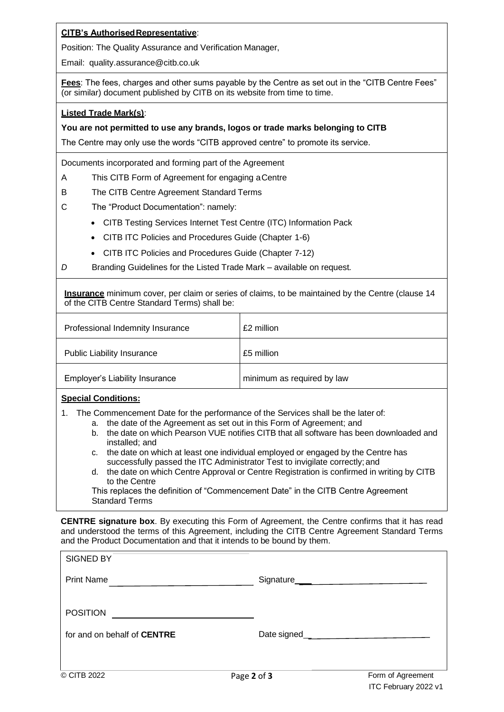# **CITB's AuthorisedRepresentative**:

Position: The Quality Assurance and Verification Manager,

Email: [quality.assurance@citb.co.uk](mailto:quality.assurance@citb.co.uk)

**Fees:** The fees, charges and other sums payable by the Centre as set out in the "CITB Centre Fees" (or similar) document published by CITB on its website from time to time.

## **Listed Trade Mark(s)**:

## **You are not permitted to use any brands, logos or trade marks belonging to CITB**

The Centre may only use the words "CITB approved centre" to promote its service.

Documents incorporated and forming part of the Agreement

- A This CITB Form of Agreement for engaging aCentre
- B The CITB Centre Agreement Standard Terms
- C The "Product Documentation": namely:
	- CITB Testing Services Internet Test Centre (ITC) Information Pack
	- CITB ITC Policies and Procedures Guide (Chapter 1-6)
	- CITB ITC Policies and Procedures Guide (Chapter 7-12)
- *D* Branding Guidelines for the Listed Trade Mark available on request*.*

**Insurance** minimum cover, per claim or series of claims, to be maintained by the Centre (clause 14 of the CITB Centre Standard Terms) shall be:

| Professional Indemnity Insurance      | £2 million                 |
|---------------------------------------|----------------------------|
| <b>Public Liability Insurance</b>     | £5 million                 |
| <b>Employer's Liability Insurance</b> | minimum as required by law |

# **Special Conditions:**

- 1. The Commencement Date for the performance of the Services shall be the later of:
	- a. the date of the Agreement as set out in this Form of Agreement; and
		- b. the date on which Pearson VUE notifies CITB that all software has been downloaded and installed; and
		- c. the date on which at least one individual employed or engaged by the Centre has successfully passed the ITC Administrator Test to invigilate correctly; and
		- d. the date on which Centre Approval or Centre Registration is confirmed in writing by CITB to the Centre

This replaces the definition of "Commencement Date" in the CITB Centre Agreement Standard Terms

**CENTRE signature box**. By executing this Form of Agreement, the Centre confirms that it has read and understood the terms of this Agreement, including the CITB Centre Agreement Standard Terms and the Product Documentation and that it intends to be bound by them.

| <b>SIGNED BY</b>                   |               |                                                 |
|------------------------------------|---------------|-------------------------------------------------|
| <b>Print Name</b>                  | Signature____ | the contract of the contract of the contract of |
| <b>POSITION</b>                    |               |                                                 |
| for and on behalf of <b>CENTRE</b> | Date signed__ |                                                 |
|                                    |               |                                                 |
| © CITB 2022                        | Page 2 of 3   | Form of Agreement                               |